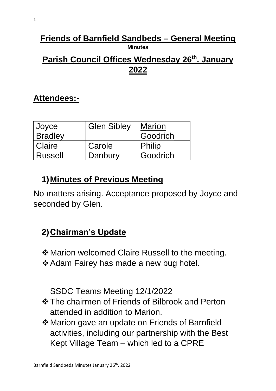# **Friends of Barnfield Sandbeds – General Meeting Minutes**

### **Parish Council Offices Wednesday 26th. January 2022**

### **Attendees:-**

| Joyce          | <b>Glen Sibley</b> | <b>Marion</b> |
|----------------|--------------------|---------------|
| <b>Bradley</b> |                    | Goodrich      |
| Claire         | Carole             | Philip        |
| <b>Russell</b> | Danbury            | Goodrich      |

### **1)Minutes of Previous Meeting**

No matters arising. Acceptance proposed by Joyce and seconded by Glen.

## **2)Chairman's Update**

❖Marion welcomed Claire Russell to the meeting.

❖Adam Fairey has made a new bug hotel.

SSDC Teams Meeting 12/1/2022

- ❖The chairmen of Friends of Bilbrook and Perton attended in addition to Marion.
- ❖Marion gave an update on Friends of Barnfield activities, including our partnership with the Best Kept Village Team – which led to a CPRE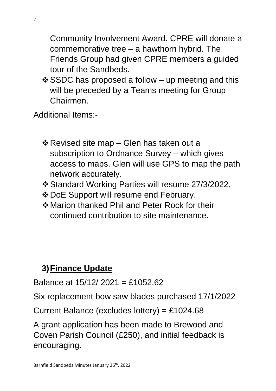Community Involvement Award. CPRE will donate a commemorative tree – a hawthorn hybrid. The Friends Group had given CPRE members a guided tour of the Sandbeds.

 $\div$  SSDC has proposed a follow – up meeting and this will be preceded by a Teams meeting for Group Chairmen.

Additional Items:-

- ❖Revised site map Glen has taken out a subscription to Ordnance Survey – which gives access to maps. Glen will use GPS to map the path network accurately.
- ❖Standard Working Parties will resume 27/3/2022.
- ❖DoE Support will resume end February.
- ❖Marion thanked Phil and Peter Rock for their continued contribution to site maintenance.

## **3)Finance Update**

Balance at 15/12/ 2021 = £1052.62

Six replacement bow saw blades purchased 17/1/2022

Current Balance (excludes lottery) = £1024.68

A grant application has been made to Brewood and Coven Parish Council (£250), and initial feedback is encouraging.